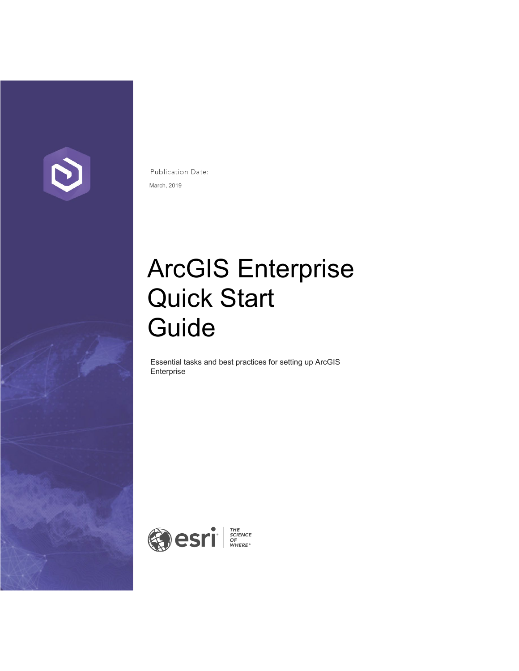

Publication Date: March, 2019

# ArcGIS Enterprise Quick Start Guide

Essential tasks and best practices for setting up ArcGIS Enterprise

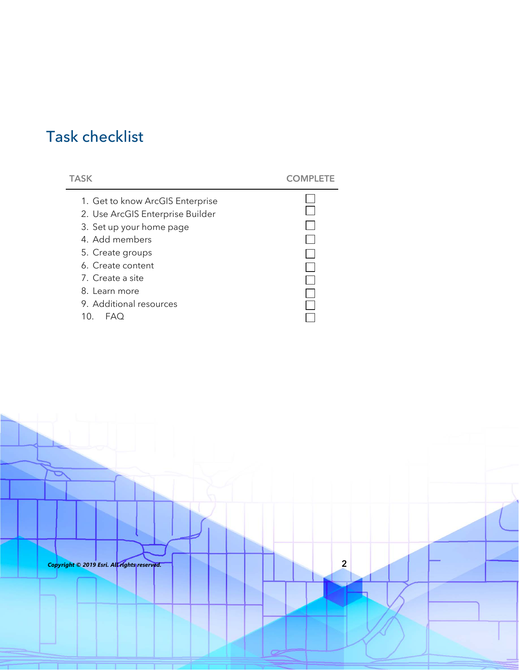# Task checklist

| TASK                             |  |
|----------------------------------|--|
| 1. Get to know ArcGIS Enterprise |  |
| 2. Use ArcGIS Enterprise Builder |  |
| 3. Set up your home page         |  |
| 4. Add members                   |  |
| 5. Create groups                 |  |
| 6. Create content                |  |
| 7. Create a site                 |  |
| 8. Learn more                    |  |
| 9. Additional resources          |  |
| 10.<br><b>FAO</b>                |  |
|                                  |  |

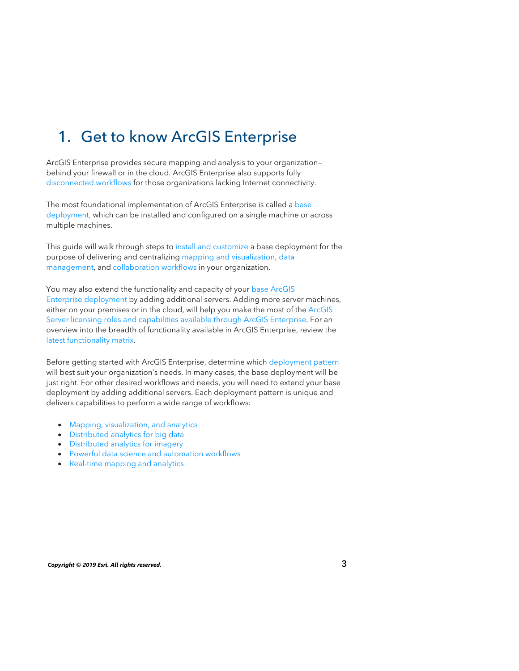# 1. Get to know ArcGIS Enterprise

ArcGIS Enterprise provides secure mapping and analysis to your organization behind your firewall or in the cloud. ArcGIS Enterprise also supports fully [disconnected workflows](https://enterprise.arcgis.com/en/portal/latest/administer/windows/configure-a-disconnected-deployment.htm) for those organizations lacking Internet connectivity.

The most foundational implementation of ArcGIS Enterprise is called a [base](http://enterprise.arcgis.com/en/get-started/latest/windows/base-arcgis-enterprise-deployment.htm) deployment, which can be installed and configured on a single machine or across multiple machines.

This guide will walk through steps to [install and customize](https://learn.arcgis.com/en/paths/get-started-with-arcgis-enterprise-for-administrators/) a base deployment for the purpose of delivering and centralizing mapping and [visualization,](https://learn.arcgis.com/en/paths/get-started-with-arcgis-enterprise-for-users/) data [management, and](https://enterprise.arcgis.com/en/server/latest/manage-data/windows/data-and-web-services.htm) [collaboration workflow](https://enterprise.arcgis.com/en/portal/latest/administer/windows/about-distributed-collaboration.htm)[s in your organization.](https://enterprise.arcgis.com/en/server/latest/manage-data/windows/data-and-web-services.htm) 

You may also extend the functionality and capacity of your base ArcGIS Enterprise deployment by adding additional servers. Adding more server machines, either on your premises or in the cloud, will help you make the most of the ArcGIS Server [licensing roles and capabilities available through ArcGIS Enterprise. For](https://enterprise.arcgis.com/en/server/latest/get-started/windows/about-arcgis-server-licensing-roles.htm) an overview into the breadth of functionality available in ArcGIS Enterprise, review the [latest functionality matrix.](https://assets.esri.com/content/dam/esrisites/en-us/media/brochures/arcgis-enterprise-functionality-matrix.pdf)

Before getting started with ArcGIS Enterprise, determine which [deployment pattern](https://enterprise.arcgis.com/en/get-started/latest/windows/additional-server-deployment.htm) will best suit your organization's needs. In many cases, the base deployment will be just right. For other desired workflows and needs, you will need to extend your base deployment by adding additional servers. Each deployment pattern is unique and delivers capabilities to perform a wide range of workflows:

- Mapping, [visualization, and analytics](https://learn.arcgis.com/en/paths/get-started-with-arcgis-enterprise-for-users/)
- [Distributed analytics for](https://learn.arcgis.com/en/paths/distributed-analytics-for-big-data/) big data
- [Distributed analytics for](https://learn.arcgis.com/en/paths/analyze-massive-collections-of-imagery-and-rasters/) imagery
- [Powerful data science and automation workflows](https://enterprise.arcgis.com/en/notebook/)
- Real-time mapping [and analytics](https://www.esri.com/en-us/arcgis/products/arcgis-geoevent-server)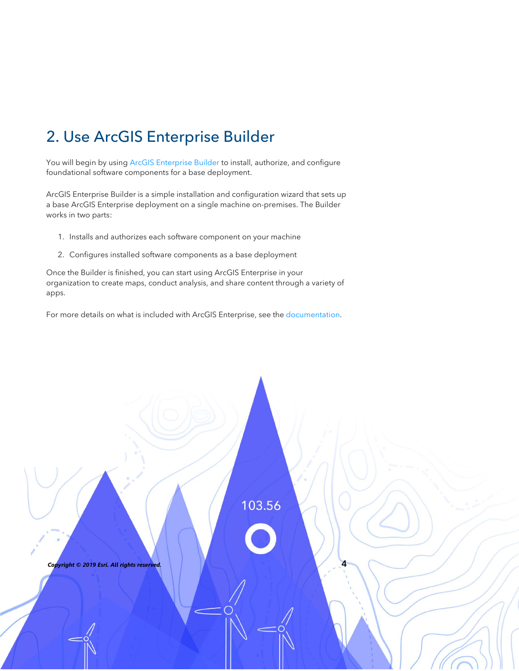# 2. Use ArcGIS Enterprise Builder

You will begin by using [ArcGIS Enterprise Builder](https://enterprise.arcgis.com/en/get-started/latest/windows/arcgis-enterprise-builder.htm) to install, authorize, and configure foundational software components for a base deployment.

ArcGIS Enterprise Builder is a simple installation and configuration wizard that sets up a base ArcGIS Enterprise deployment on a single machine on-premises. The Builder works in two parts:

- 1. Installs and authorizes each software component on your machine
- 2. Configures installed software components as a base deployment

Once the Builder is finished, you can start using ArcGIS Enterprise in your organization to create maps, conduct analysis, and share content through a variety of apps.

For more details on what is included with ArcGIS Enterprise, see the [documentation.](http://enterprise.arcgis.com/en/)

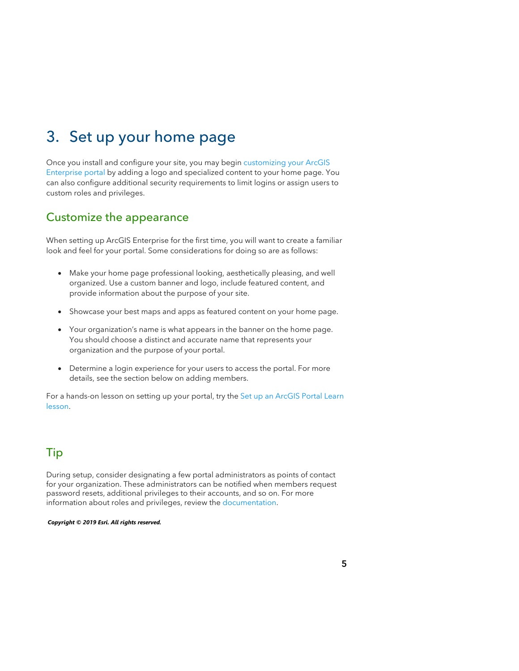# 3. Set up your home page

Once you install and configure your site, you may begin [customizing your ArcGIS](http://enterprise.arcgis.com/en/portal/latest/administer/windows/about-configuring-the-portal-website.htm)  [Enterprise portal](http://enterprise.arcgis.com/en/portal/latest/administer/windows/about-configuring-the-portal-website.htm) by adding a logo and specialized content to your home page. You can also configure additional security requirements to limit logins or assign users to custom roles and privileges.

#### Customize the appearance

When setting up ArcGIS Enterprise for the first time, you will want to create a familiar look and feel for your portal. Some considerations for doing so are as follows:

- Make your home page professional looking, aesthetically pleasing, and well organized. Use a custom banner and logo, include featured content, and provide information about the purpose of your site.
- Showcase your best maps and apps as featured content on your home page.
- Your organization's name is what appears in the banner on the home page. You should choose a distinct and accurate name that represents your organization and the purpose of your portal.
- Determine a login experience for your users to access the portal. For more details, see the section below on adding members.

For a hands-on lesson on setting up your portal, try the Set up an ArcGIS Portal Learn [lesson.](https://learn.arcgis.com/en/projects/set-up-an-arcgis-enterprise-portal/)

### Tip

During setup, consider designating a few portal administrators as points of contact for your organization. These administrators can be notified when members request password resets, additional privileges to their accounts, and so on. For more information about roles and privileges, review the [documentation.](https://enterprise.arcgis.com/en/portal/latest/administer/windows/roles.htm)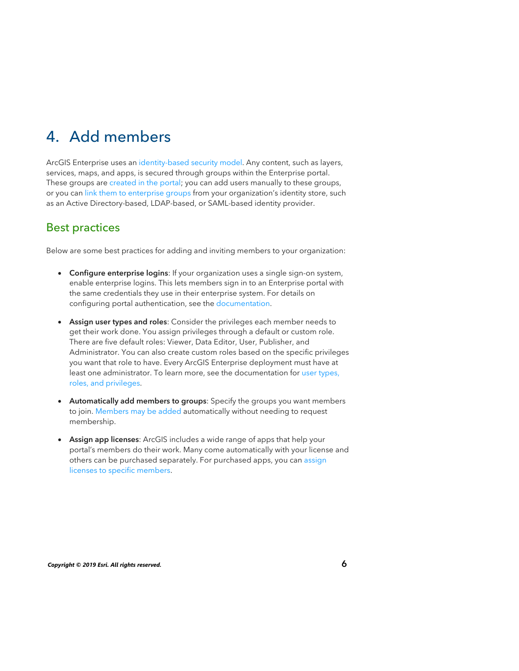# 4. Add members

ArcGIS Enterprise uses an [identity-based security model.](https://enterprise.arcgis.com/en/get-started/latest/windows/the-arcgis-enterprise-security-model.htm) Any content, such as layers, services, maps, and apps, is secured through groups within the Enterprise portal. These groups are [created in the portal](https://enterprise.arcgis.com/en/portal/latest/administer/windows/create-groups.htm); you can add users manually to these groups, or you can [link them to enterprise groups](https://enterprise.arcgis.com/en/portal/latest/administer/windows/create-groups.htm#ESRI_SECTION1_5E3FFFAA1B7E443FBB1E483E070B1979) from your organization's identity store, such as an Active Directory-based, LDAP-based, or SAML-based identity provider.

### Best practices

Below are some best practices for adding and inviting members to your organization:

- Configure enterprise logins: If your organization uses a single sign-on system, enable enterprise logins. This lets members sign in to an Enterprise portal with the same credentials they use in their enterprise system. For details on configuring portal authentication, see the [documentation.](https://enterprise.arcgis.com/en/portal/latest/administer/windows/about-configuring-portal-authentication.htm)
- Assign user types and roles: Consider the privileges each member needs to get their work done. You assign privileges through a default or custom role. There are five default roles: Viewer, Data Editor, User, Publisher, and Administrator. You can also create custom roles based on the specific privileges you want that role to have. Every ArcGIS Enterprise deployment must have at least one administrator. To learn more, see the documentation for user types, roles, and [privileges.](https://enterprise.arcgis.com/en/portal/latest/administer/windows/roles.htm)
- Automatically add members to groups: Specify the groups you want members to join. [Members may be added](https://enterprise.arcgis.com/en/portal/latest/administer/windows/add-members-to-your-portal.htm) automatically without needing to request membership.
- Assign app licenses: ArcGIS includes a wide range of apps that help your portal's members do their work. Many come automatically with your license and others can be purchased separately. For purchased apps, you can ass[ign](https://enterprise.arcgis.com/en/portal/latest/administer/windows/license-premium-apps.htm) [licenses to specific members.](https://enterprise.arcgis.com/en/portal/latest/administer/windows/license-premium-apps.htm)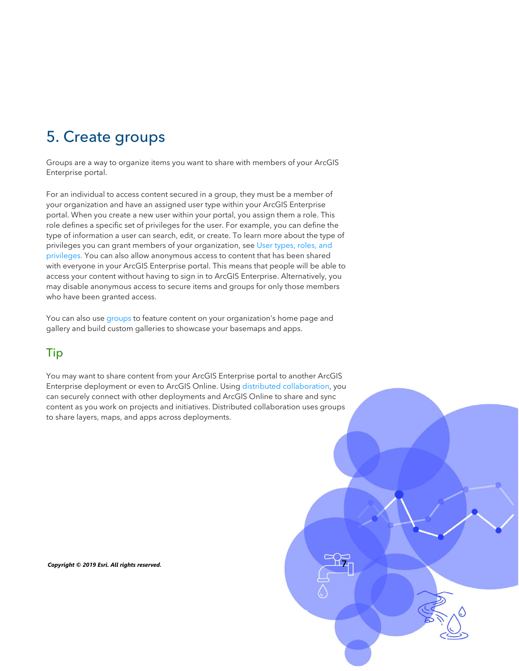# 5. Create groups

Groups are a way to organize items you want to share with members of your ArcGIS Enterprise portal.

For an individual to access content secured in a group, they must be a member of your organization and have an assigned user type within your ArcGIS Enterprise portal. When you create a new user within your portal, you assign them a role. This role defines a specific set of privileges for the user. For example, you can define the type of information a user can search, edit, or create. To learn more about the type of privileges you can grant members of your organization, see [User types, roles, and](https://enterprise.arcgis.com/en/portal/latest/administer/windows/roles.htm)  privileges. You can also allow anonymous access to content that has been shared with everyone in your ArcGIS Enterprise portal. This means that people will be able to access your content without having to sign in to ArcGIS Enterprise. Alternatively, you may disable anonymous access to secure items and groups for only those members who have been granted access.

You can also use [groups](https://enterprise.arcgis.com/en/portal/latest/administer/windows/create-groups.htm) to feature content on your organization's home page and gallery and build custom galleries to showcase your basemaps and apps.

### Tip

You may want to share content from your ArcGIS Enterprise portal to another ArcGIS Enterprise deployment or even to ArcGIS Online. Using [distributed collaboration,](https://enterprise.arcgis.com/en/portal/latest/administer/windows/about-distributed-collaboration.htm) you can securely connect with other deployments and ArcGIS Online to share and sync content as you work on projects and initiatives. Distributed collaboration uses groups to share layers, maps, and apps across deployments.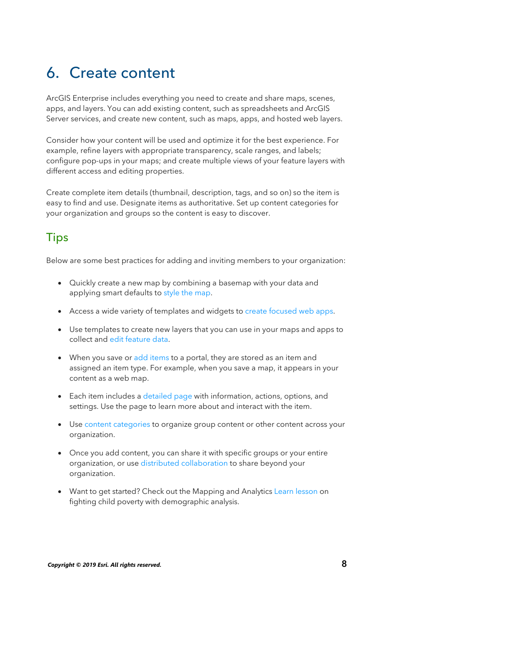## 6. Create content

ArcGIS Enterprise includes everything you need to create and share maps, scenes, apps, and layers. You can add existing content, such as spreadsheets and ArcGIS Server services, and create new content, such as maps, apps, and hosted web layers.

Consider how your content will be used and optimize it for the best experience. For example, refine layers with appropriate transparency, scale ranges, and labels; configure pop-ups in your maps; and create multiple views of your feature layers with different access and editing properties.

Create complete item details (thumbnail, description, tags, and so on) so the item is easy to find and use. Designate items as authoritative. Set up content categories for your organization and groups so the content is easy to discover.

### **Tips**

Below are some best practices for adding and inviting members to your organization:

- Quickly create a new map by combining a basemap with your data and applying smart defaults to [style the map.](https://enterprise.arcgis.com/en/portal/latest/use/change-style.htm)
- Access a wide variety of templates and widgets to [create focused](https://enterprise.arcgis.com/en/portal/latest/use/get-started-with-apps.htm) web apps.
- Use templates to create new layers that you can use in your maps and apps to collect and [edit feature data](https://enterprise.arcgis.com/en/portal/latest/use/edit-features.htm).
- When you save or [add items](https://enterprise.arcgis.com/en/portal/latest/use/add-items.htm) [to a portal,](https://enterprise.arcgis.com/en/portal/latest/use/change-style.htm) they are stored as an item and assigned an item type. For example, when you sa[ve a map, it appears in you](https://enterprise.arcgis.com/en/portal/latest/use/get-started-with-apps.htm)r content as a web map.
- Each item includes a [detailed page](https://enterprise.arcgis.com/en/portal/latest/use/item-details.htm) with information, actions, options, and settings. U[se the page to lear](https://enterprise.arcgis.com/en/portal/latest/use/edit-features.htm)n more about and interact with the item.
- Use [content categories](https://enterprise.arcgis.com/en/portal/latest/administer/windows/manage-items.htm#ESRI_SECTION1_6EE6EAA55E494C0A9E8391555E7D54F3) to organize group content or other content across your organization.
- Once you add content, you can share it with specific groups or your entire organization, or use [distributed collaboration](https://enterprise.arcgis.com/en/portal/latest/administer/windows/about-distributed-collaboration.htm) to share beyond your organization.
- Want to get started? Check out the Mapping and Analytics [Learn lesson](https://learn.arcgis.com/en/projects/fight-child-poverty-with-demographic-analysis/) on fighting child poverty with demographic analysis.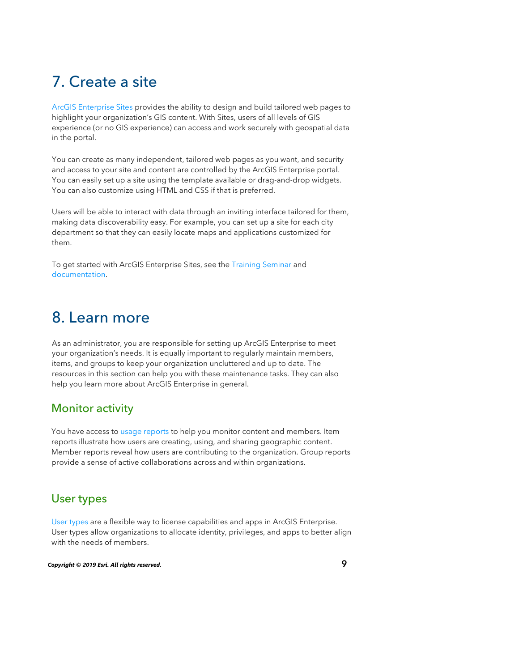# 7. Create a site

[ArcGIS Enterprise Sites](https://enterprise.arcgis.com/en/portal/latest/use/about-this-application.htm) provides the ability to design and build tailored web pages to highlight your organization's GIS content. With Sites, users of all levels of GIS experience (or no GIS experience) can access and work securely with geospatial data in the portal.

You can create as many independent, tailored web pages as you want, and security and access to your site and content are controlled by the ArcGIS Enterprise portal. You can easily set up a site using the template available or drag-and-drop widgets. You can also customize using HTML and CSS if that is preferred.

Users will be able to interact with data through an inviting interface tailored for them, making data discoverability easy. For example, you can set up a site for each city department so that they can easily locate maps and applications customized for them.

To get started with ArcGIS Enterprise Sites, see th[e Training Seminar](https://www.esri.com/training/catalog/5b3fde73d54ead38aa9f2a08/get-started-with-arcgis-enterprise-sites/) and [documentation.](https://enterprise.arcgis.com/en/portal/latest/use/about-this-application.htm) 

### 8. Learn more

As an administrator, you are responsible for setting up ArcGIS Enterprise to meet your organization's needs. It is equally important to regularly maintain members, [items, and gro](https://enterprise.arcgis.com/en/portal/latest/administer/windows/setting-up-sites-in-portal.htm)ups to keep your organization uncluttered and up to date. The resources in this section can help you with these maintenance tasks. They can also help you learn more about ArcGIS Enterprise in general.

### Monitor activity

You have access to [usage reports](https://enterprise.arcgis.com/en/portal/latest/administer/windows/about-usage-reports.htm) to help you monitor content and members. Item reports illustrate how users are creating, using, and sharing geographic content. Member reports reveal how users are contributing to the organization. Group reports provide a sense of active collaborations across and within organizations.

#### User types

[User types](https://enterprise.arcgis.com/en/portal/latest/administer/windows/roles.htm#USER_TYPES) are a flexible way to license capabilities and apps in ArcGIS Enterprise. User types allow organizations to allocate identity, privileges, and apps to better align with the needs of members.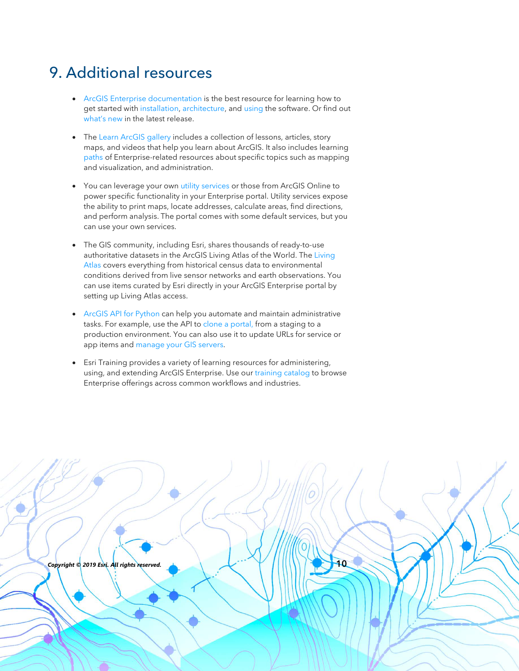### 9. Additional resources

- [ArcGIS Enterprise documentation](https://enterprise.arcgis.com/en/) is the best resource for learning how to get started with [installation,](https://enterprise.arcgis.com/en/documentation/install/) [architecture](https://enterprise.arcgis.com/en/get-started/latest/windows/additional-server-deployment.htm), and [using](https://enterprise.arcgis.com/en/portal/latest/use/what-is-portal-for-arcgis-.htm) the software. Or find out [what's new](https://enterprise.arcgis.com/en/get-started/latest/windows/what-s-new-in-arcgis-enterprise.htm) in the latest release.
- The [Learn ArcGIS gallery](https://learn.arcgis.com/en/gallery/) includes a collection of lessons, articles, story maps, and videos that help you learn about ArcGIS. It also includes learning [paths](https://learn.arcgis.com/en/gallery/#?t=path) of Enterprise-related resources about specific topics such as mapping and visualization, and administration.
- You can leverage your own [utility services](https://enterprise.arcgis.com/en/portal/latest/administer/windows/about-utility-services.htm) or those from ArcGIS Online to power specific functionality in your Enterprise portal. Utility services expose the ability to print maps, locate addresses, calculate areas, find directions, and perform analysis. The portal comes with some default services, but you can use your own services.
- The GIS community, including Esri, shares thousands of ready-to-use [authoritative datasets in the ArcGIS Living Atlas of the World. The Living](https://livingatlas.arcgis.com/en/) Atlas covers everything from historical census data to environmental conditions derived from live sensor networks and earth observations. You can use items curated by Esri directly in your ArcGIS Enterprise portal by setting up Living Atlas access.
- [ArcGIS API for Python](https://developers.arcgis.com/python/) can help you automate and maintain administrative tasks. For example, use the API to [clone a portal,](https://developers.arcgis.com/python/sample-notebooks/clone-portal-users-groups-and-content/) from a staging to a production environment. You can also use it to update URLs for service or app items and [manage your GIS servers.](https://developers.arcgis.com/python/guide/managing-your-gis-servers/)
- Esri Training provides a variety of learning resources for administering, us[ing, and exte](https://enterprise.arcgis.com/en/get-started/latest/windows/what-s-new-in-arcgis-enterprise.htm)nding ArcGIS Enterprise. Use our [training catalog](https://www.esri.com/training/catalog/search/) to browse Enterprise offerings across common workflows and industries.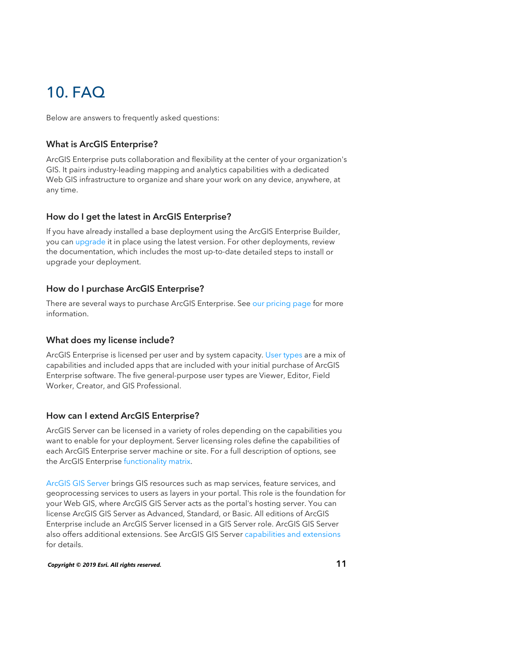### 10. FAQ

Below are answers to frequently asked questions:

#### What is ArcGIS Enterprise?

ArcGIS Enterprise puts collaboration and flexibility at the center of your organization's GIS. It pairs industry-leading mapping and analytics capabilities with a dedicated Web GIS infrastructure to organize and share your work on any device, anywhere, at any time.

#### How do I get the latest in ArcGIS Enterprise?

If you have already installed a base deployment using the ArcGIS Enterprise Builder, you can [upgrade](https://enterprise.arcgis.com/en/get-started/latest/windows/upgrade-arcgis-enterprise.htm) it in place using the latest version. For other deployments, review the documentation, which includes the most up-to-date detailed steps to install or upgrade your deployment.

#### How do I purchase ArcGIS Enterprise?

There are several ways to purchase ArcGIS Enterprise. See our [pricing page](https://www.esri.com/en-us/arcgis/products/arcgis-enterprise/pricing) for more information.

#### What does my license include?

ArcGIS Enterprise is licensed per user and by system capacity. [User types](https://enterprise.arcgis.com/en/portal/latest/administer/windows/roles.htm) are a mix of capabilities and included apps that are included with your initial purchase of ArcGIS Enterprise software. The five general-purpose user types are Viewer, Editor, Field Worker, Creator, and GIS Professional.

#### How can I extend ArcGIS Enterprise?

ArcGIS Server can be licensed in a variety of roles depending on the capabilities you want to enable for your deployment. Server licensing roles define the capabilities of each ArcGIS Enterprise server machine or site. For a full description of options, see the ArcGIS Enterprise [functionality matrix.](https://assets.esri.com/content/dam/esrisites/en-us/media/brochures/arcgis-enterprise-functionality-matrix.pdf)

[ArcGIS GIS Server](https://enterprisedev.arcgis.com/en/server/latest/get-started/windows/what-is-arcgis-gis-server-.htm) brings GIS resources such as map services, feature services, and geoprocessing services to users as layers in your portal. This role is the foundation for your Web GIS, where ArcGIS GIS Server acts as the portal's hosting server. You can license ArcGIS GIS Server as Advanced, Standard, or Basic. All editions of ArcGIS Enterprise include an ArcGIS Server licensed in a GIS Server role. ArcGIS GIS Server also offers additional extensions. See ArcGIS GIS Server [capabilities and extensions](https://enterprise.arcgis.com/en/server/latest/get-started/windows/server-extensions.htm) for details.